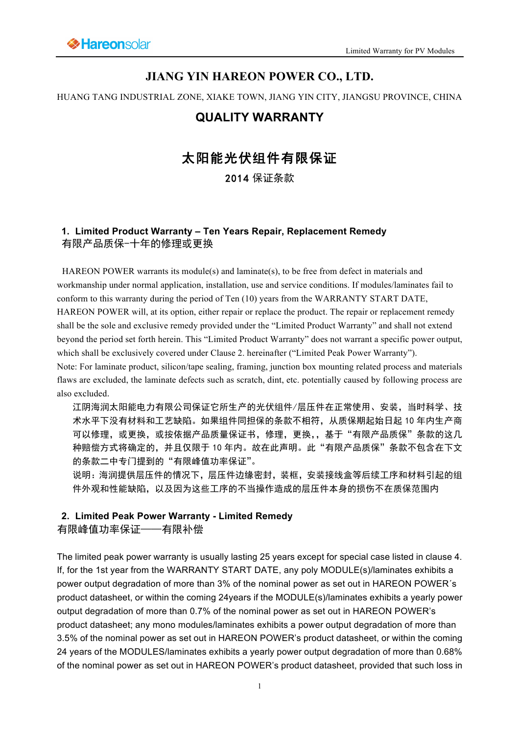# **JIANG YIN HAREON POWER CO., LTD.**

HUANG TANG INDUSTRIAL ZONE, XIAKE TOWN, JIANG YIN CITY, JIANGSU PROVINCE, CHINA

# **QUALITY WARRANTY**

# 太阳能光伏组件有限保证

2014 保证条款

## **1. Limited Product Warranty – Ten Years Repair, Replacement Remedy**  有限产品质保-十年的修理或更换

HAREON POWER warrants its module(s) and laminate(s), to be free from defect in materials and workmanship under normal application, installation, use and service conditions. If modules/laminates fail to conform to this warranty during the period of Ten (10) years from the WARRANTY START DATE, HAREON POWER will, at its option, either repair or replace the product. The repair or replacement remedy shall be the sole and exclusive remedy provided under the "Limited Product Warranty" and shall not extend beyond the period set forth herein. This "Limited Product Warranty" does not warrant a specific power output, which shall be exclusively covered under Clause 2. hereinafter ("Limited Peak Power Warranty"). Note: For laminate product, silicon/tape sealing, framing, junction box mounting related process and materials flaws are excluded, the laminate defects such as scratch, dint, etc. potentially caused by following process are

also excluded.

江阴海润太阳能电力有限公司保证它所生产的光伏组件/层压件在正常使用、安装,当时科学、技 术水平下没有材料和工艺缺陷。如果组件同担保的条款不相符,从质保期起始日起 10 年内生产商 可以修理,或更换,或按依据产品质量保证书,修理,更换,,基于"有限产品质保"条款的这几 种赔偿方式将确定的,并且仅限于 10 年内。故在此声明。此"有限产品质保"条款不包含在下文 的条款二中专门提到的"有限峰值功率保证"。

说明:海润提供层压件的情况下,层压件边缘密封,装框,安装接线盒等后续工序和材料引起的组 件外观和性能缺陷,以及因为这些工序的不当操作造成的层压件本身的损伤不在质保范围内

### **2. Limited Peak Power Warranty - Limited Remedy**

有限峰值功率保证——有限补偿

The limited peak power warranty is usually lasting 25 years except for special case listed in clause 4. If, for the 1st year from the WARRANTY START DATE, any poly MODULE(s)/laminates exhibits a power output degradation of more than 3% of the nominal power as set out in HAREON POWER´s product datasheet, or within the coming 24years if the MODULE(s)/laminates exhibits a yearly power output degradation of more than 0.7% of the nominal power as set out in HAREON POWER's product datasheet; any mono modules/laminates exhibits a power output degradation of more than 3.5% of the nominal power as set out in HAREON POWER's product datasheet, or within the coming 24 years of the MODULES/laminates exhibits a yearly power output degradation of more than 0.68% of the nominal power as set out in HAREON POWER's product datasheet, provided that such loss in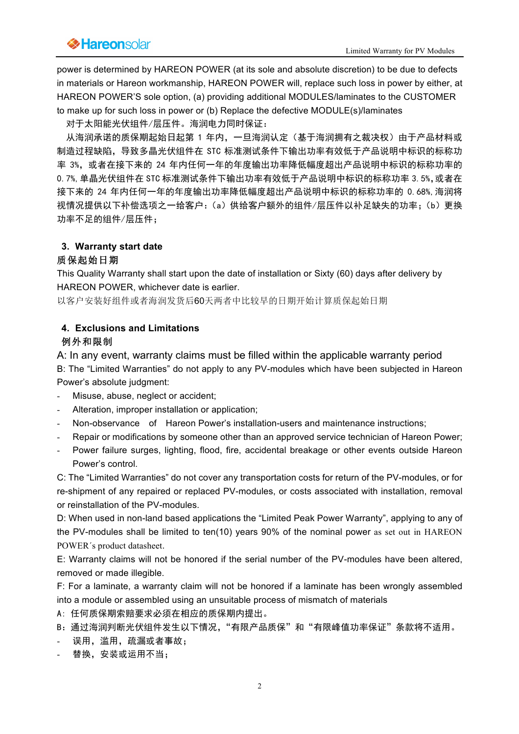power is determined by HAREON POWER (at its sole and absolute discretion) to be due to defects in materials or Hareon workmanship, HAREON POWER will, replace such loss in power by either, at HAREON POWER'S sole option, (a) providing additional MODULES/laminates to the CUSTOMER to make up for such loss in power or (b) Replace the defective MODULE(s)/laminates

对于太阳能光伏组件/层压件。海润电力同时保证:

 从海润承诺的质保期起始日起第 1 年内,一旦海润认定(基于海润拥有之裁决权)由于产品材料或 制造过程缺陷,导致多晶光伏组件在 STC 标准测试条件下输出功率有效低于产品说明中标识的标称功 率 3%, 或者在接下来的 24 年内任何一年的年度输出功率降低幅度超出产品说明中标识的标称功率的 0.7%,单晶光伏组件在 STC 标准测试条件下输出功率有效低于产品说明中标识的标称功率 3.5%,或者在 接下来的 24 年内任何一年的年度输出功率降低幅度超出产品说明中标识的标称功率的 0.68%,海润将 视情况提供以下补偿选项之一给客户:(a)供给客户额外的组件/层压件以补足缺失的功率;(b)更换 功率不足的组件/层压件;

### **3. Warranty start date**

### 质保起始日期

This Quality Warranty shall start upon the date of installation or Sixty (60) days after delivery by HAREON POWER, whichever date is earlier.

以客户安装好组件或者海润发货后60天两者中比较早的日期开始计算质保起始日期

### **4. Exclusions and Limitations**

### 例外和限制

A: In any event, warranty claims must be filled within the applicable warranty period B: The "Limited Warranties" do not apply to any PV-modules which have been subjected in Hareon Power's absolute judgment:

- Misuse, abuse, neglect or accident;
- Alteration, improper installation or application;
- Non-observance of Hareon Power's installation-users and maintenance instructions;
- Repair or modifications by someone other than an approved service technician of Hareon Power;
- Power failure surges, lighting, flood, fire, accidental breakage or other events outside Hareon Power's control.

C: The "Limited Warranties" do not cover any transportation costs for return of the PV-modules, or for re-shipment of any repaired or replaced PV-modules, or costs associated with installation, removal or reinstallation of the PV-modules.

D: When used in non-land based applications the "Limited Peak Power Warranty", applying to any of the PV-modules shall be limited to ten(10) years 90% of the nominal power as set out in HAREON POWER´s product datasheet.

E: Warranty claims will not be honored if the serial number of the PV-modules have been altered, removed or made illegible.

F: For a laminate, a warranty claim will not be honored if a laminate has been wrongly assembled into a module or assembled using an unsuitable process of mismatch of materials

- A: 任何质保期索赔要求必须在相应的质保期内提出。
- B: 通过海润判断光伏组件发生以下情况, "有限产品质保"和"有限峰值功率保证"条款将不适用。
- 误用,滥用,疏漏或者事故;
- 替换,安装或运用不当;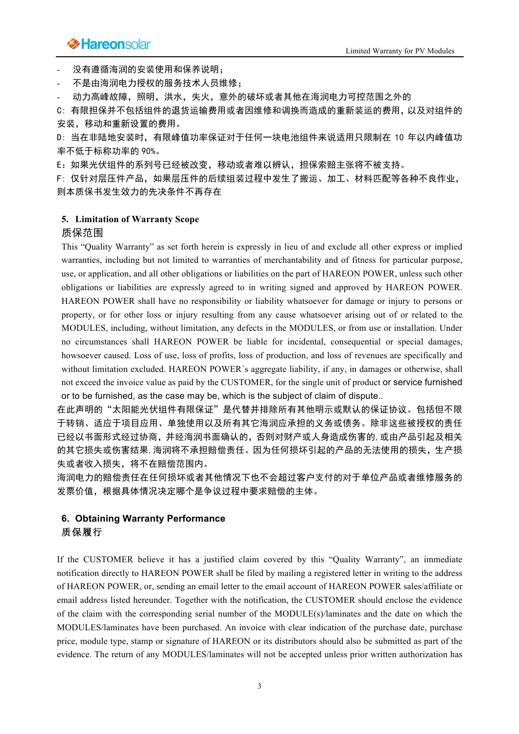# **Example 2** Hare on Solar Elimited Warranty for PV Modules

- 没有遵循海润的安装使用和保养说明;

- 不是由海润电力授权的服务技术人员维修;

动力高峰故障,照明,洪水,失火,意外的破坏或者其他在海润电力可控范围之外的

C: 有限担保并不包括组件的退货运输费用或者因维修和调换而造成的重新装运的费用,以及对组件的 安装,移动和重新设置的费用。

D: 当在非陆地安装时,有限峰值功率保证对于任何一块电池组件来说适用只限制在 10 年以内峰值功 率不低于标称功率的 90%。

E:如果光伏组件的系列号已经被改变,移动或者难以辨认,担保索赔主张将不被支持。

F: 仅针对层压件产品,如果层压件的后续组装过程中发生了搬运、加工、材料匹配等各种不良作业, 则本质保书发生效力的先决条件不再存在

#### **5. Limitation of Warranty Scope**

#### 质保范围

This "Quality Warranty" as set forth herein is expressly in lieu of and exclude all other express or implied warranties, including but not limited to warranties of merchantability and of fitness for particular purpose, use, or application, and all other obligations or liabilities on the part of HAREON POWER, unless such other obligations or liabilities are expressly agreed to in writing signed and approved by HAREON POWER. HAREON POWER shall have no responsibility or liability whatsoever for damage or injury to persons or property, or for other loss or injury resulting from any cause whatsoever arising out of or related to the MODULES, including, without limitation, any defects in the MODULES, or from use or installation. Under no circumstances shall HAREON POWER be liable for incidental, consequential or special damages, howsoever caused. Loss of use, loss of profits, loss of production, and loss of revenues are specifically and without limitation excluded. HAREON POWER's aggregate liability, if any, in damages or otherwise, shall not exceed the invoice value as paid by the CUSTOMER, for the single unit of product or service furnished or to be furnished, as the case may be, which is the subject of claim of dispute..

在此声明的"太阳能光伏组件有限保证"是代替并排除所有其他明示或默认的保证协议。包括但不限 于转销、适应于项目应用、单独使用以及所有其它海润应承担的义务或债务。除非这些被授权的责任 已经以书面形式经过协商,并经海润书面确认的,否则对财产或人身造成伤害的,或由产品引起及相关 的其它损失或伤害结果,海润将不承担赔偿责任。因为任何损坏引起的产品的无法使用的损失,生产损 失或者收入损失,将不在赔偿范围内。

海润电力的赔偿责任在何损坏或者其他情况下也不会超过客户支付的对于单位产品或者维修服务的 发票价值,根据具体情况决定哪个是争议过程中要求赔偿的主体。

## **6. Obtaining Warranty Performance**  质保履行

If the CUSTOMER believe it has a justified claim covered by this "Quality Warranty", an immediate notification directly to HAREON POWER shall be filed by mailing a registered letter in writing to the address of HAREON POWER, or, sending an email letter to the email account of HAREON POWER sales/affiliate or email address listed hereunder. Together with the notification, the CUSTOMER should enclose the evidence of the claim with the corresponding serial number of the MODULE(s)/laminates and the date on which the MODULES/laminates have been purchased. An invoice with clear indication of the purchase date, purchase price, module type, stamp or signature of HAREON or its distributors should also be submitted as part of the evidence. The return of any MODULES/laminates will not be accepted unless prior written authorization has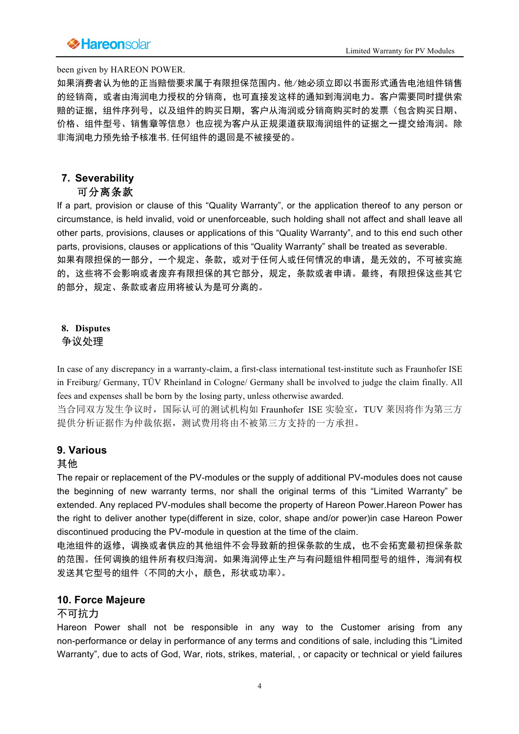# **Example 2 Frame Discover Act of the Contract of the Contract of Act of the Contract of PV Modules**

#### been given by HAREON POWER.

如果消费者认为他的正当赔偿要求属于有限担保范围内。他/她必须立即以书面形式通告电池组件销售 的经销商,或者由海润电力授权的分销商,也可直接发这样的通知到海润电力。客户需要同时提供索 赔的证据,组件序列号,以及组件的购买日期,客户从海润或分销商购买时的发票(包含购买日期、 价格、组件型号、销售章等信息)也应视为客户从正规渠道获取海润组件的证据之一提交给海润。除 非海润电力预先给予核准书,任何组件的退回是不被接受的。

# **7. Severability**

## 可分离条款

If a part, provision or clause of this "Quality Warranty", or the application thereof to any person or circumstance, is held invalid, void or unenforceable, such holding shall not affect and shall leave all other parts, provisions, clauses or applications of this "Quality Warranty", and to this end such other parts, provisions, clauses or applications of this "Quality Warranty" shall be treated as severable. 如果有限担保的一部分,一个规定、条款,或对于任何人或任何情况的申请,是无效的,不可被实施

的,这些将不会影响或者废弃有限担保的其它部分,规定,条款或者申请。最终,有限担保这些其它 的部分,规定、条款或者应用将被认为是可分离的。

# **8. Disputes**

### 争议处理

In case of any discrepancy in a warranty-claim, a first-class international test-institute such as Fraunhofer ISE in Freiburg/ Germany, TÜV Rheinland in Cologne/ Germany shall be involved to judge the claim finally. All fees and expenses shall be born by the losing party, unless otherwise awarded.

当合同双方发生争议时,国际认可的测试机构如 Fraunhofer ISE 实验室,TUV 莱因将作为第三方 提供分析证据作为仲裁依据,测试费用将由不被第三方支持的一方承担。

### **9. Various**

### 其他

The repair or replacement of the PV-modules or the supply of additional PV-modules does not cause the beginning of new warranty terms, nor shall the original terms of this "Limited Warranty" be extended. Any replaced PV-modules shall become the property of Hareon Power.Hareon Power has the right to deliver another type(different in size, color, shape and/or power)in case Hareon Power discontinued producing the PV-module in question at the time of the claim.

电池组件的返修,调换或者供应的其他组件不会导致新的担保条款的生成,也不会拓宽最初担保条款 的范围。任何调换的组件所有权归海润。如果海润停止生产与有问题组件相同型号的组件,海润有权 发送其它型号的组件(不同的大小,颜色,形状或功率)。

### **10. Force Majeure**

### 不可抗力

Hareon Power shall not be responsible in any way to the Customer arising from any non-performance or delay in performance of any terms and conditions of sale, including this "Limited Warranty", due to acts of God, War, riots, strikes, material, , or capacity or technical or yield failures